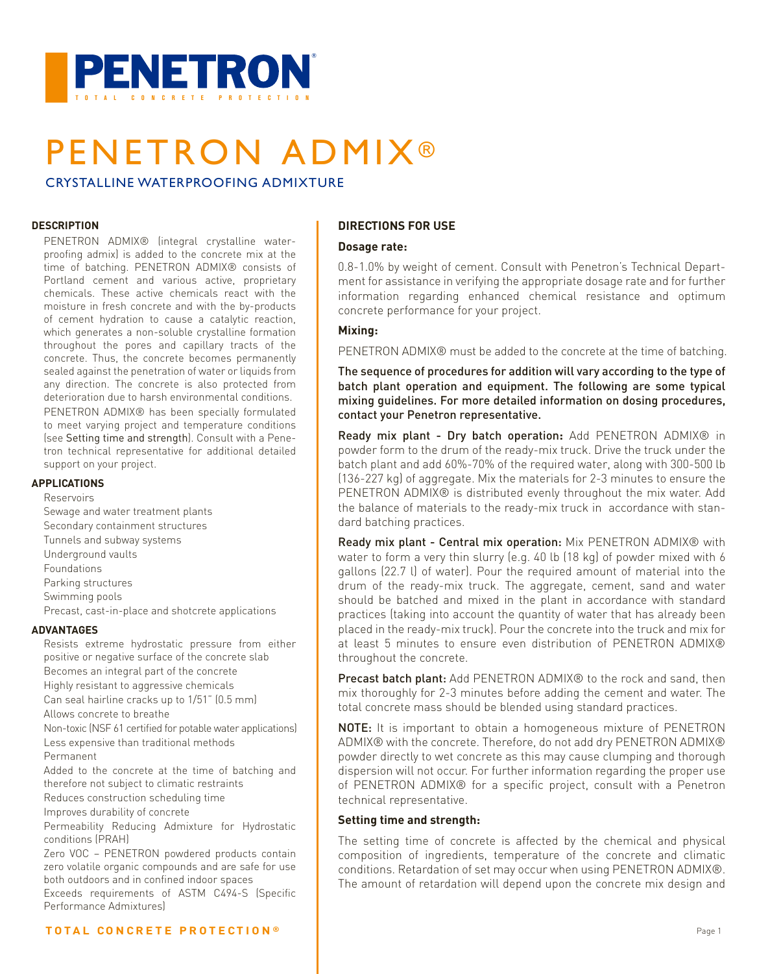

# PENETRON ADMIX®

CRYSTALLINE WATERPROOFING ADMIXTURE

### **DESCRIPTION**

PENETRON ADMIX® (integral crystalline waterproofing admix) is added to the concrete mix at the time of batching. PENETRON ADMIX® consists of Portland cement and various active, proprietary chemicals. These active chemicals react with the moisture in fresh concrete and with the by-products of cement hydration to cause a catalytic reaction, which generates a non-soluble crystalline formation throughout the pores and capillary tracts of the concrete. Thus, the concrete becomes permanently sealed against the penetration of water or liquids from any direction. The concrete is also protected from deterioration due to harsh environmental conditions.

PENETRON ADMIX® has been specially formulated to meet varying project and temperature conditions (see Setting time and strength). Consult with a Penetron technical representative for additional detailed support on your project.

#### **APPLICATIONS**

Reservoirs

Sewage and water treatment plants Secondary containment structures Tunnels and subway systems Underground vaults Foundations Parking structures Swimming pools Precast, cast-in-place and shotcrete applications **ADVANTAGES**

Resists extreme hydrostatic pressure from either positive or negative surface of the concrete slab Becomes an integral part of the concrete Highly resistant to aggressive chemicals Can seal hairline cracks up to 1/51" (0.5 mm) Allows concrete to breathe

Non-toxic (NSF 61 certified for potable water applications) Less expensive than traditional methods

Permanent

Added to the concrete at the time of batching and therefore not subject to climatic restraints

Reduces construction scheduling time

Improves durability of concrete

Permeability Reducing Admixture for Hydrostatic conditions (PRAH)

Zero VOC – PENETRON powdered products contain zero volatile organic compounds and are safe for use both outdoors and in confined indoor spaces

Exceeds requirements of ASTM C494-S (Specific Performance Admixtures)

### **DIRECTIONS FOR USE**

### **Dosage rate:**

0.8-1.0% by weight of cement. Consult with Penetron's Technical Department for assistance in verifying the appropriate dosage rate and for further information regarding enhanced chemical resistance and optimum concrete performance for your project.

### **Mixing:**

PENETRON ADMIX® must be added to the concrete at the time of batching.

The sequence of procedures for addition will vary according to the type of batch plant operation and equipment. The following are some typical mixing guidelines. For more detailed information on dosing procedures, contact your Penetron representative.

Ready mix plant - Dry batch operation**:** Add PENETRON ADMIX® in powder form to the drum of the ready-mix truck. Drive the truck under the batch plant and add 60%-70% of the required water, along with 300-500 lb (136-227 kg) of aggregate. Mix the materials for 2-3 minutes to ensure the PENETRON ADMIX® is distributed evenly throughout the mix water. Add the balance of materials to the ready-mix truck in accordance with standard batching practices.

Ready mix plant - Central mix operation: Mix PENETRON ADMIX® with water to form a very thin slurry (e.g. 40 lb (18 kg) of powder mixed with 6 gallons (22.7 l) of water). Pour the required amount of material into the drum of the ready-mix truck. The aggregate, cement, sand and water should be batched and mixed in the plant in accordance with standard practices (taking into account the quantity of water that has already been placed in the ready-mix truck). Pour the concrete into the truck and mix for at least 5 minutes to ensure even distribution of PENETRON ADMIX® throughout the concrete.

**Precast batch plant:** Add PENETRON ADMIX<sup>®</sup> to the rock and sand, then mix thoroughly for 2-3 minutes before adding the cement and water. The total concrete mass should be blended using standard practices.

NOTE: It is important to obtain a homogeneous mixture of PENETRON ADMIX® with the concrete. Therefore, do not add dry PENETRON ADMIX® powder directly to wet concrete as this may cause clumping and thorough dispersion will not occur. For further information regarding the proper use of PENETRON ADMIX® for a specific project, consult with a Penetron technical representative.

### **Setting time and strength:**

The setting time of concrete is affected by the chemical and physical composition of ingredients, temperature of the concrete and climatic conditions. Retardation of set may occur when using PENETRON ADMIX®. The amount of retardation will depend upon the concrete mix design and